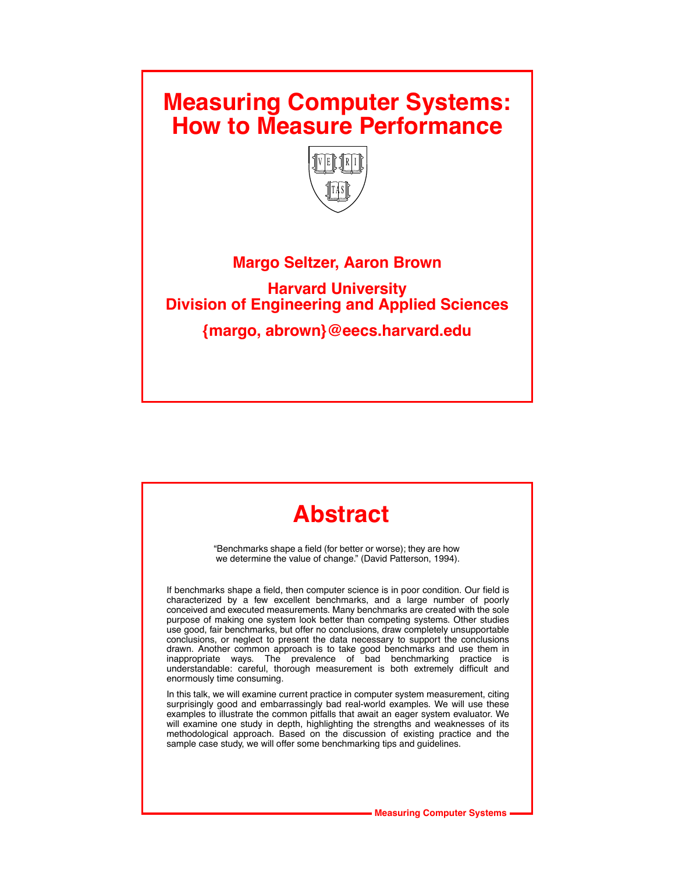### **Measuring Computer Systems: How to Measure Performance**



### **Margo Seltzer, Aaron Brown**

**Harvard University Division of Engineering and Applied Sciences**

**{margo, abrown}@eecs.harvard.edu**

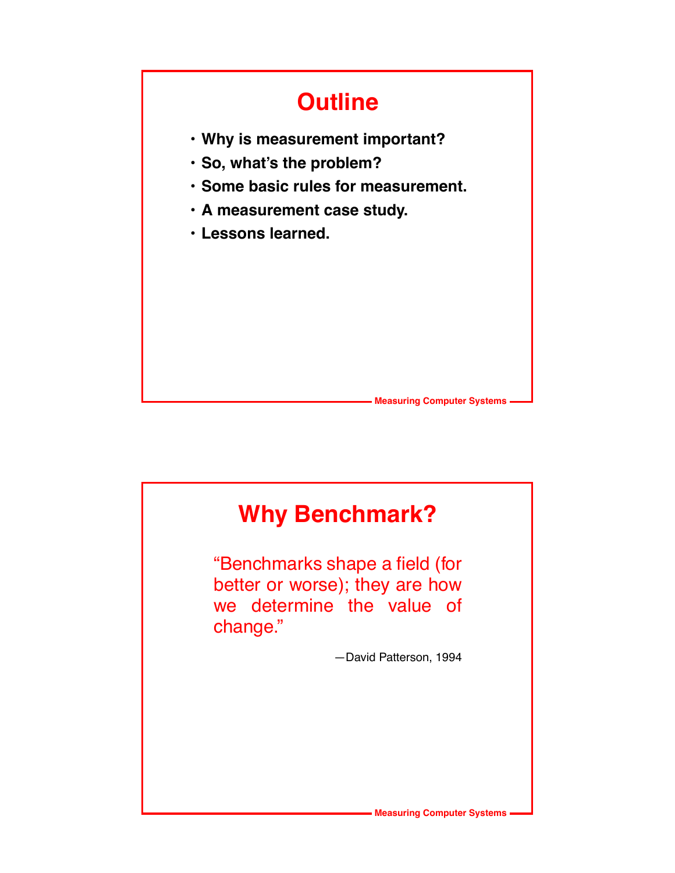

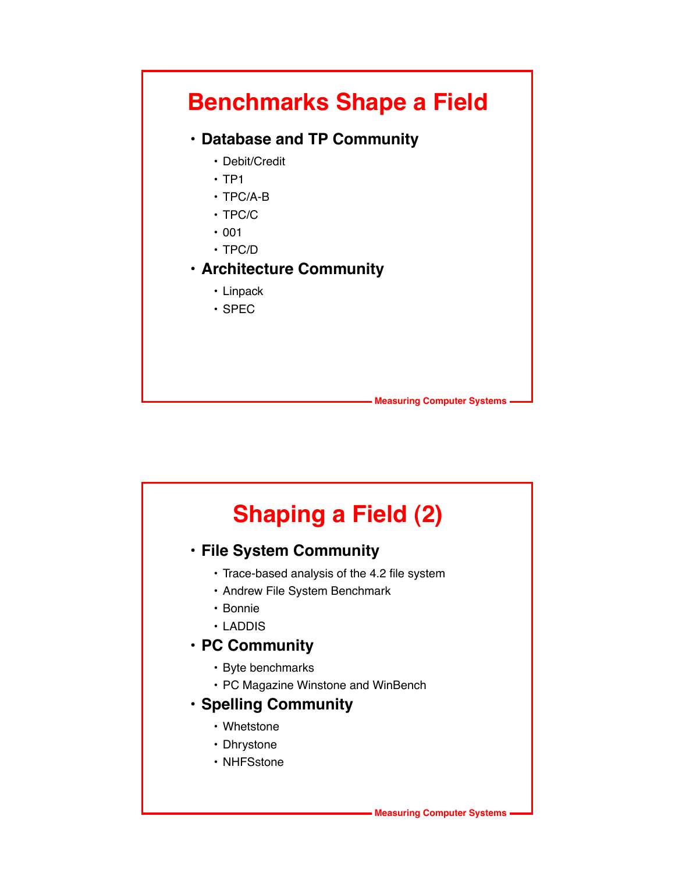

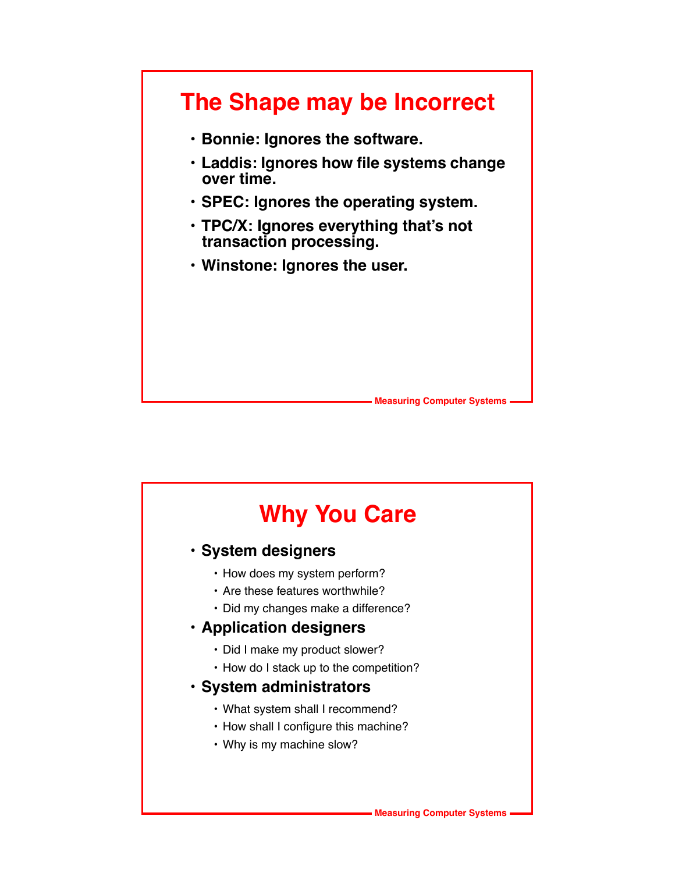

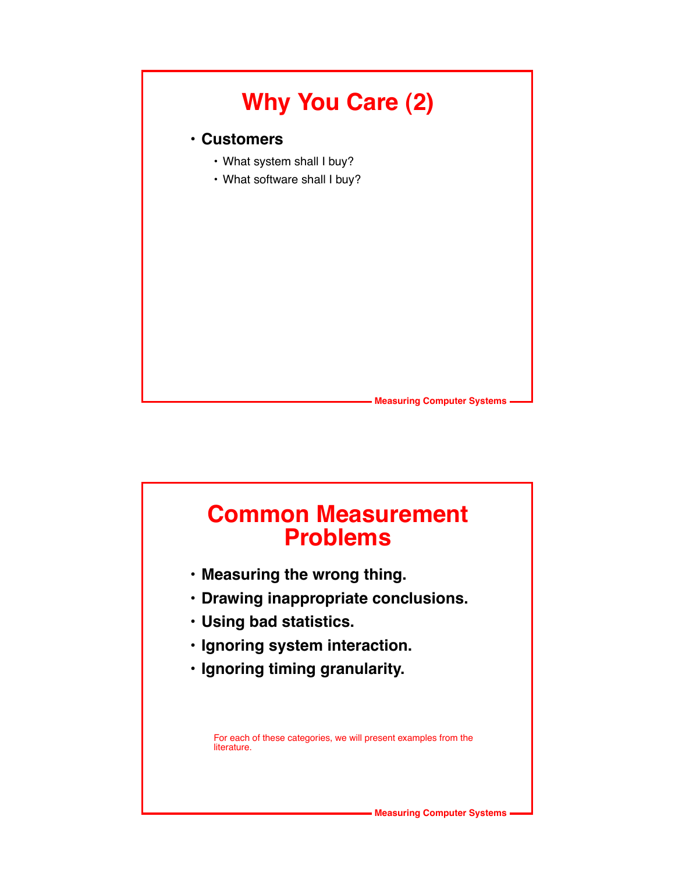

### **Common Measurement Problems**

- **Measuring the wrong thing.**
- **Drawing inappropriate conclusions.**
- **Using bad statistics.**
- **Ignoring system interaction.**
- **Ignoring timing granularity.**

For each of these categories, we will present examples from the literature.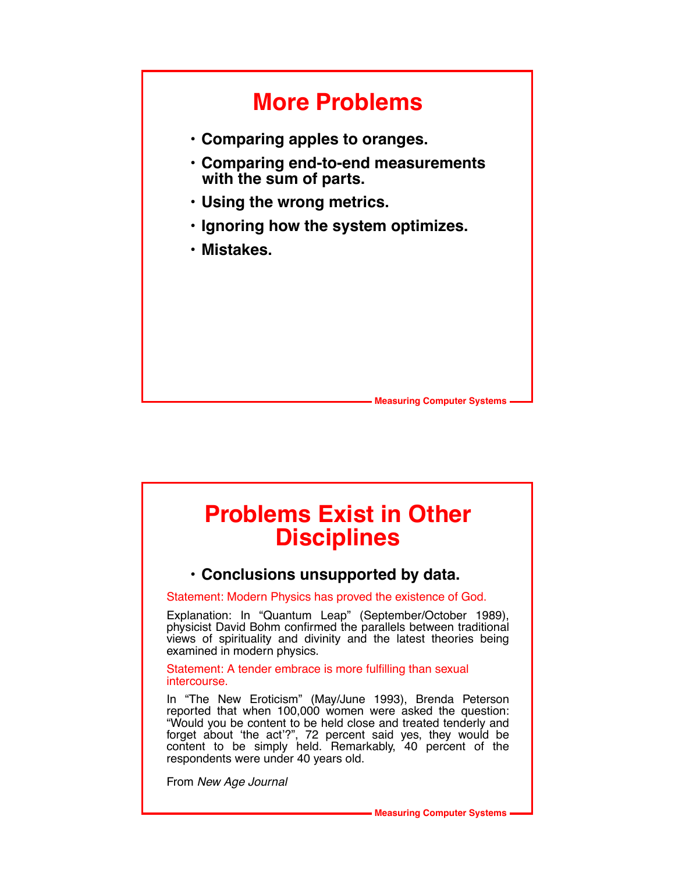

### **Problems Exist in Other Disciplines**

### **• Conclusions unsupported by data.**

Statement: Modern Physics has proved the existence of God.

Explanation: In "Quantum Leap" (September/October 1989), physicist David Bohm confirmed the parallels between traditional views of spirituality and divinity and the latest theories being examined in modern physics.

Statement: A tender embrace is more fulfilling than sexual intercourse.

In "The New Eroticism" (May/June 1993), Brenda Peterson reported that when 100,000 women were asked the question: "Would you be content to be held close and treated tenderly and forget about 'the act'?", 72 percent said yes, they would be content to be simply held. Remarkably, 40 percent of the respondents were under 40 years old.

From *New Age Journal*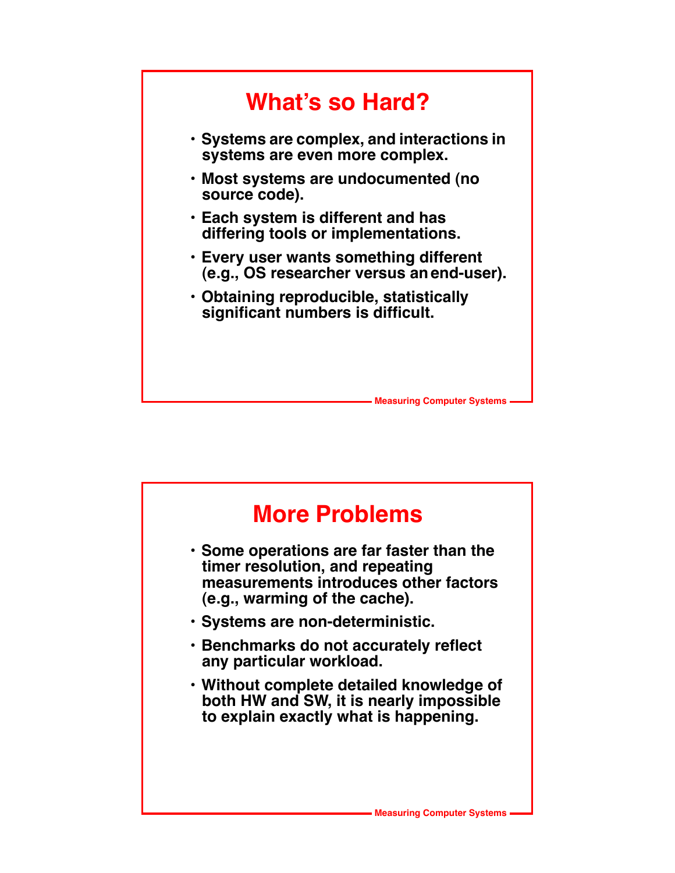

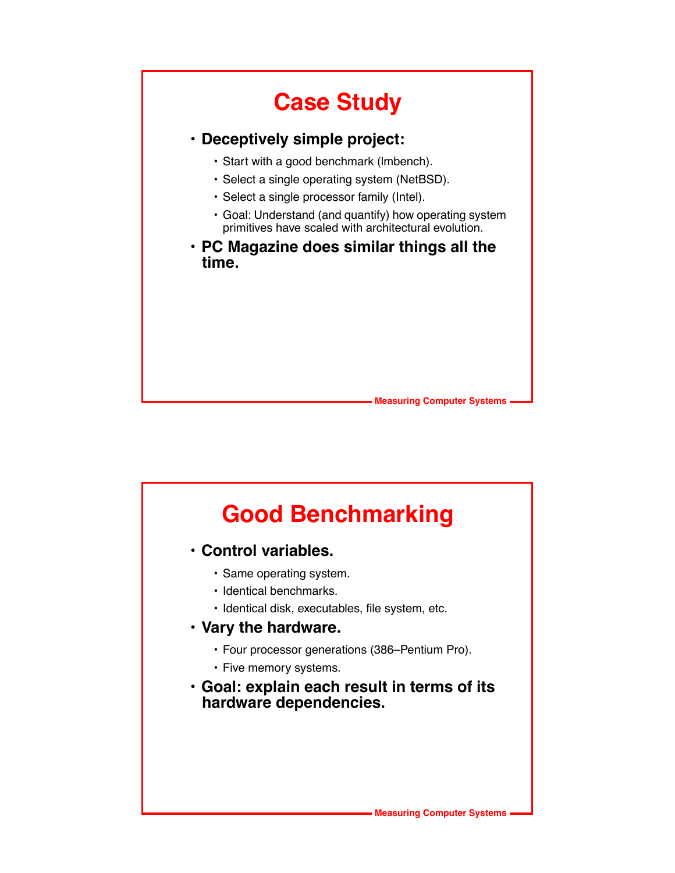# **Case Study**

### **• Deceptively simple project:**

- Start with a good benchmark (lmbench).
- Select a single operating system (NetBSD).
- Select a single processor family (Intel).
- Goal: Understand (and quantify) how operating system primitives have scaled with architectural evolution.
- **PC Magazine does similar things all the time.**



## **Good Benchmarking • Control variables.** • Same operating system. • Identical benchmarks. • Identical disk, executables, file system, etc. **• Vary the hardware.** • Four processor generations (386–Pentium Pro). • Five memory systems. **• Goal: explain each result in terms of its hardware dependencies.**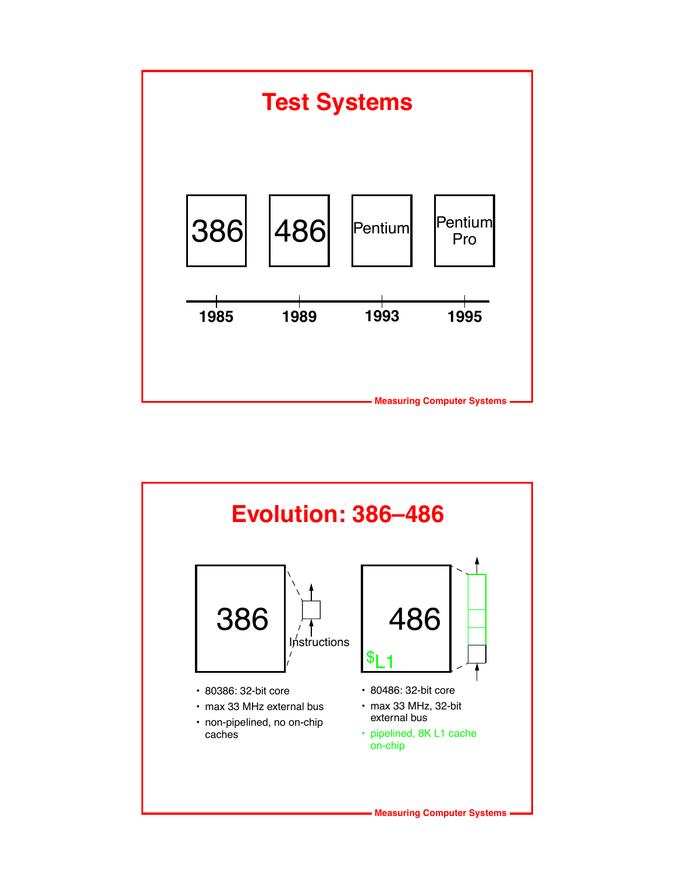

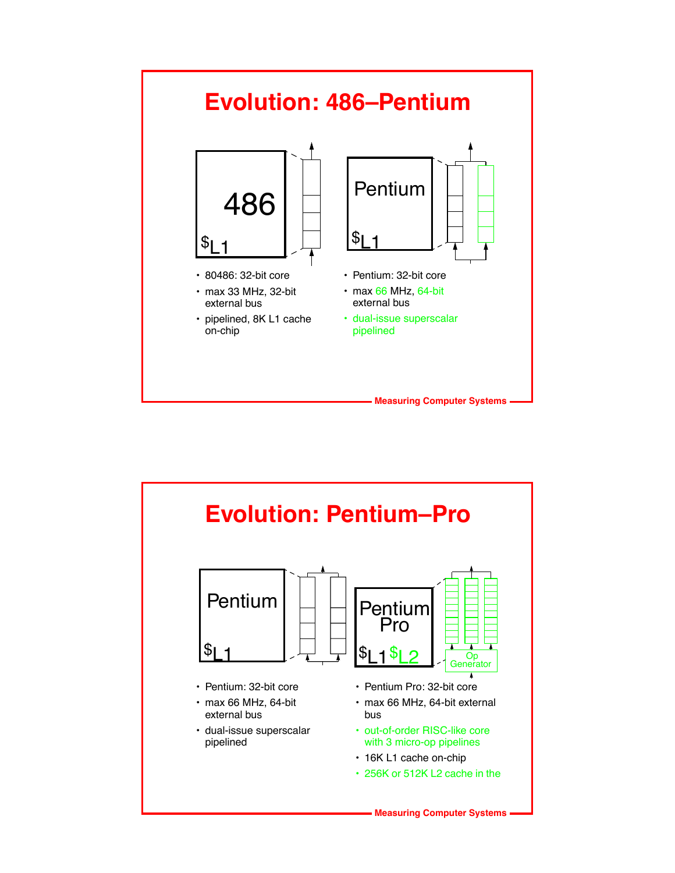

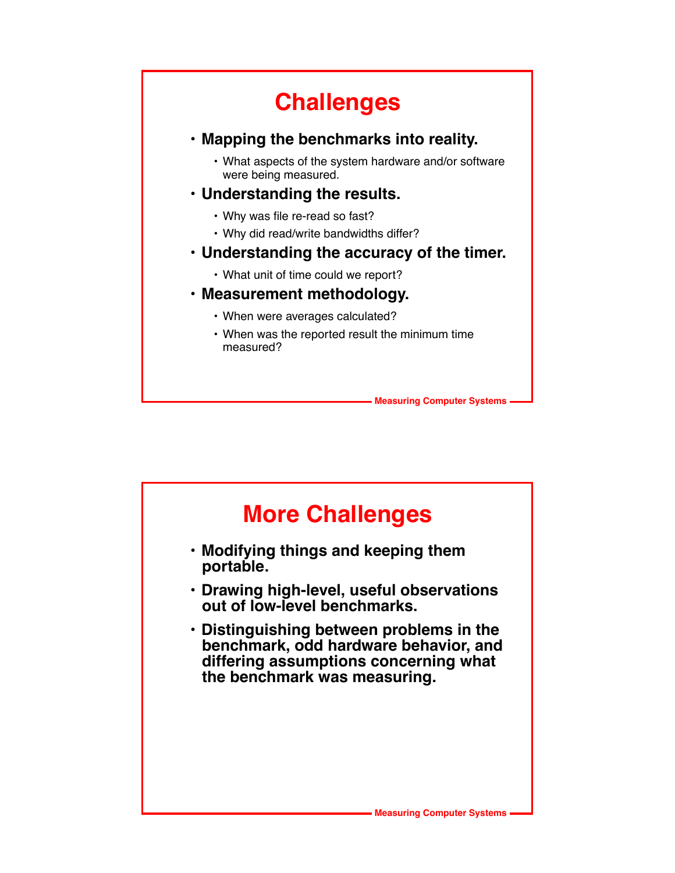# **Challenges**

### **• Mapping the benchmarks into reality.**

- What aspects of the system hardware and/or software were being measured.
- **Understanding the results.**
	- Why was file re-read so fast?
	- Why did read/write bandwidths differ?

### **• Understanding the accuracy of the timer.**

• What unit of time could we report?

### **• Measurement methodology.**

- When were averages calculated?
- When was the reported result the minimum time measured?

**Measuring Computer Systems**

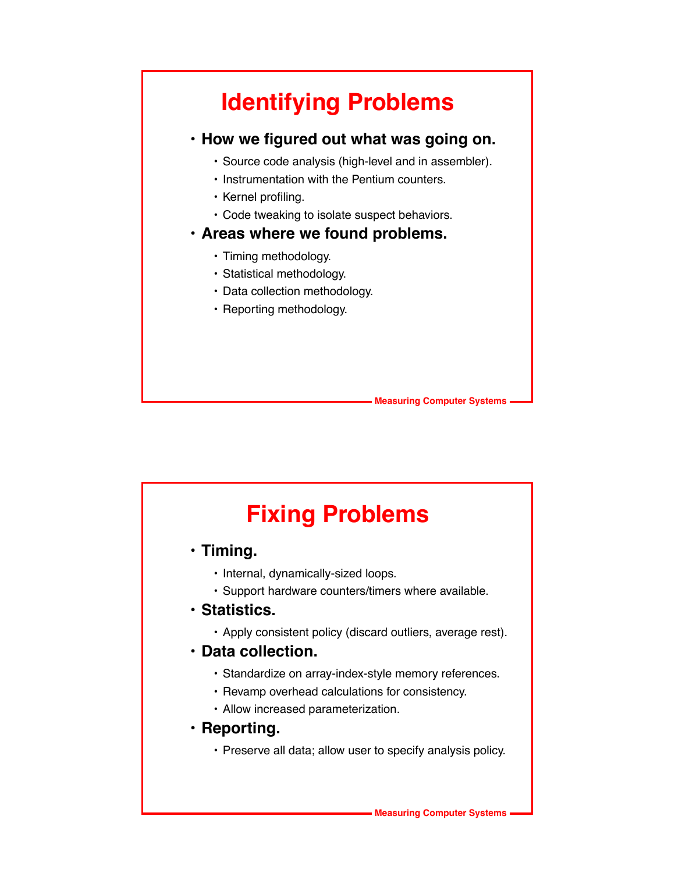## **Identifying Problems**

### **• How we figured out what was going on.**

- Source code analysis (high-level and in assembler).
- Instrumentation with the Pentium counters.
- Kernel profiling.
- Code tweaking to isolate suspect behaviors.

#### **• Areas where we found problems.**

- Timing methodology.
- Statistical methodology.
- Data collection methodology.
- Reporting methodology.

**Measuring Computer Systems**

# **Fixing Problems**

- **Timing.**
	- Internal, dynamically-sized loops.
	- Support hardware counters/timers where available.
- **Statistics.**
	- Apply consistent policy (discard outliers, average rest).
- **Data collection.**
	- Standardize on array-index-style memory references.
	- Revamp overhead calculations for consistency.
	- Allow increased parameterization.
- **Reporting.**
	- Preserve all data; allow user to specify analysis policy.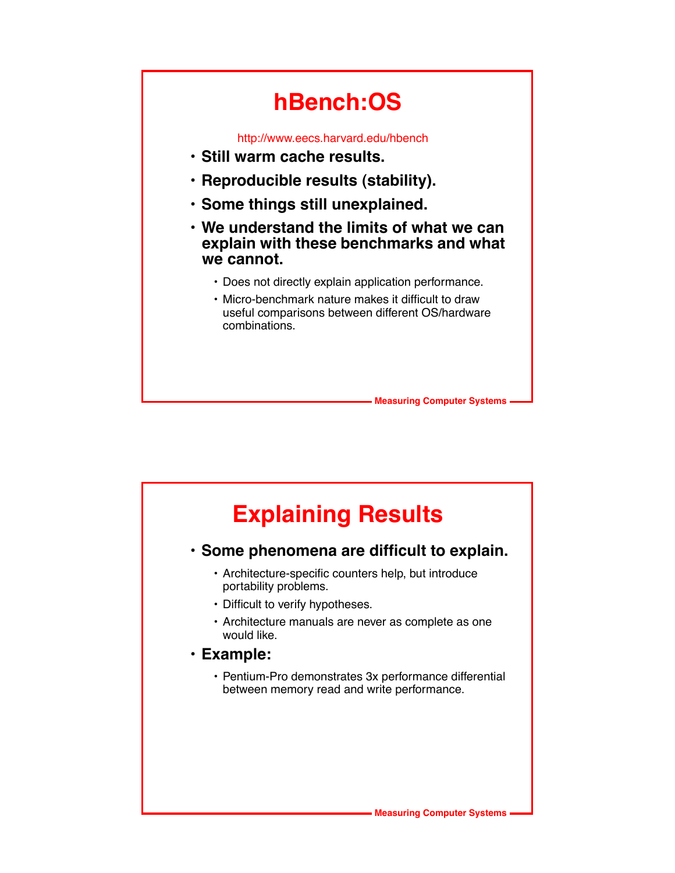# **hBench:OS**

http://www.eecs.harvard.edu/hbench

- **Still warm cache results.**
- **Reproducible results (stability).**
- **Some things still unexplained.**
- **We understand the limits of what we can explain with these benchmarks and what we cannot.**
	- Does not directly explain application performance.
	- Micro-benchmark nature makes it difficult to draw useful comparisons between different OS/hardware combinations.

**Measuring Computer Systems**

# **Explaining Results**

### **• Some phenomena are difficult to explain.**

- Architecture-specific counters help, but introduce portability problems.
- Difficult to verify hypotheses.
- Architecture manuals are never as complete as one would like.
- **Example:**
	- Pentium-Pro demonstrates 3x performance differential between memory read and write performance.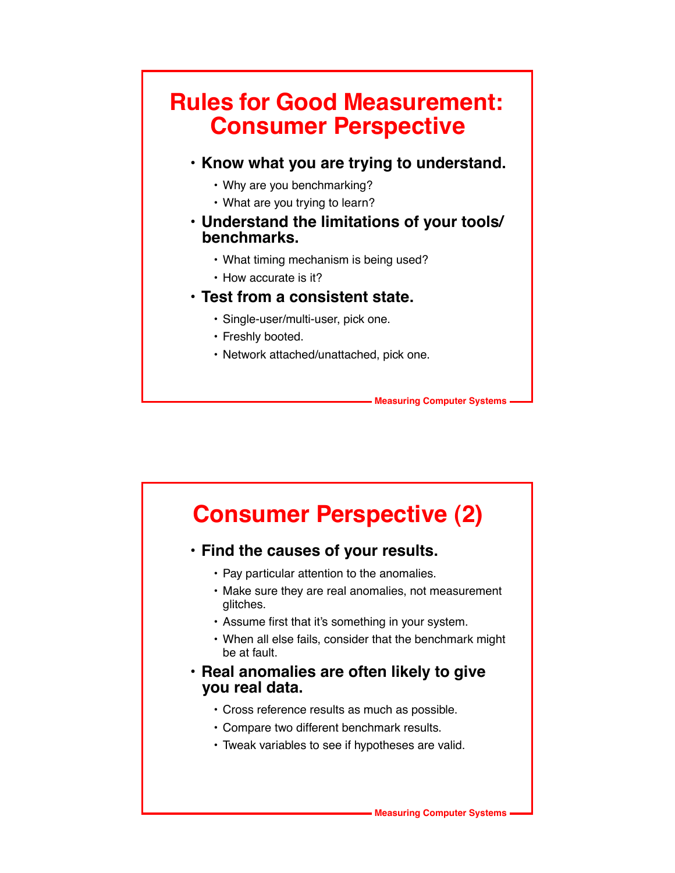### **Rules for Good Measurement: Consumer Perspective**

- **Know what you are trying to understand.**
	- Why are you benchmarking?
	- What are you trying to learn?
- **Understand the limitations of your tools/ benchmarks.**
	- What timing mechanism is being used?
	- How accurate is it?

#### **• Test from a consistent state.**

- Single-user/multi-user, pick one.
- Freshly booted.
- Network attached/unattached, pick one.

**Measuring Computer Systems**

## **Consumer Perspective (2)**

### **• Find the causes of your results.**

- Pay particular attention to the anomalies.
- Make sure they are real anomalies, not measurement glitches.
- Assume first that it's something in your system.
- When all else fails, consider that the benchmark might be at fault.
- **Real anomalies are often likely to give you real data.**
	- Cross reference results as much as possible.
	- Compare two different benchmark results.
	- Tweak variables to see if hypotheses are valid.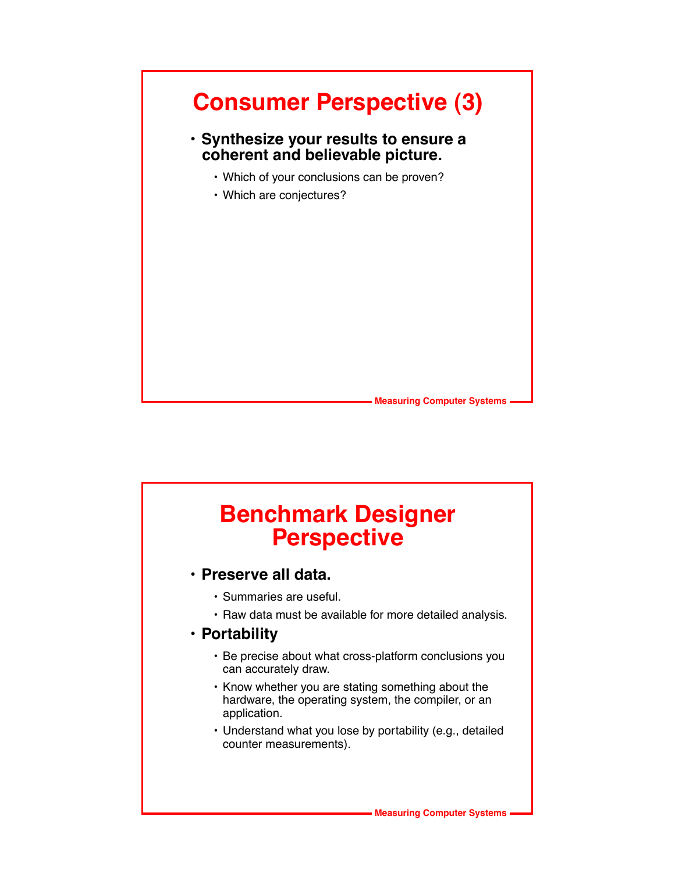

### **Benchmark Designer Perspective**

- **Preserve all data.**
	- Summaries are useful.
	- Raw data must be available for more detailed analysis.

### **• Portability**

- Be precise about what cross-platform conclusions you can accurately draw.
- Know whether you are stating something about the hardware, the operating system, the compiler, or an application.
- Understand what you lose by portability (e.g., detailed counter measurements).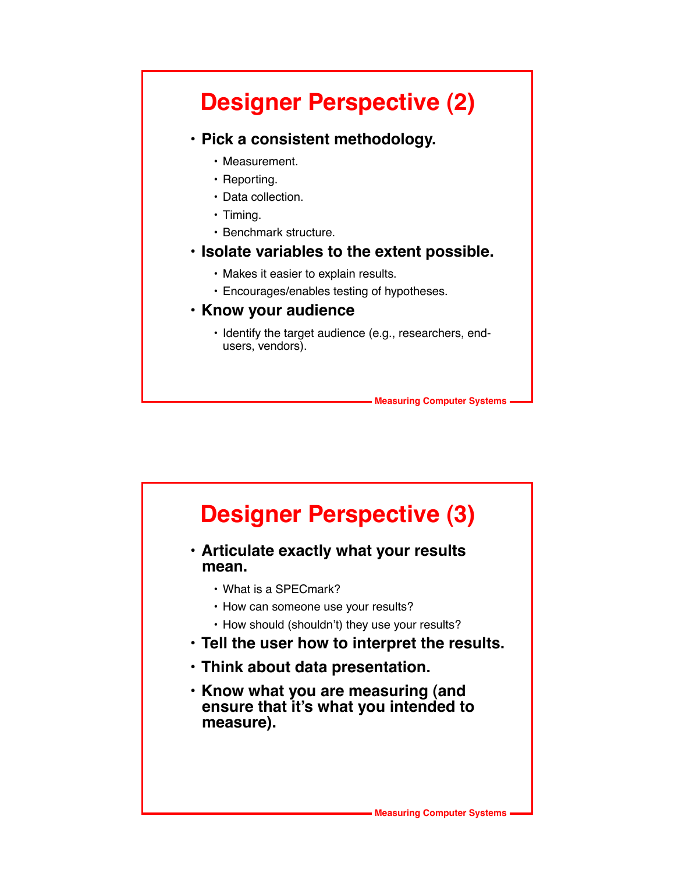## **Designer Perspective (2)**

#### **• Pick a consistent methodology.**

- Measurement.
- Reporting.
- Data collection.
- Timing.
- Benchmark structure.

#### **• Isolate variables to the extent possible.**

- Makes it easier to explain results.
- Encourages/enables testing of hypotheses.

#### **• Know your audience**

• Identify the target audience (e.g., researchers, endusers, vendors).

**Measuring Computer Systems**